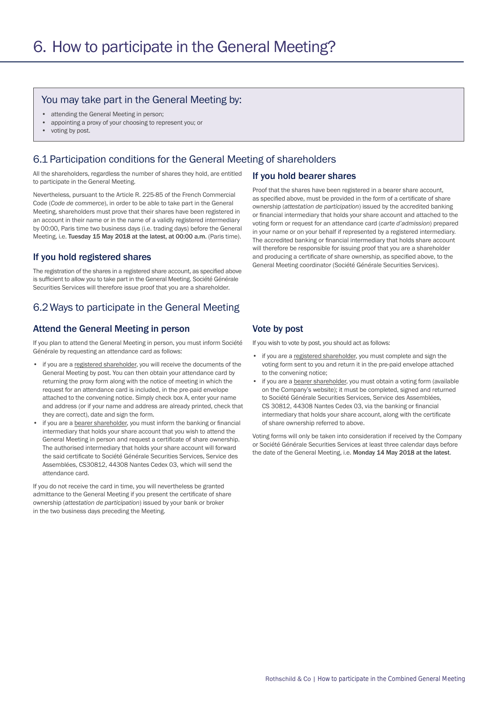#### You may take part in the General Meeting by:

- attending the General Meeting in person;
- appointing a proxy of your choosing to represent you; or
- voting by post.

### 6.1 Participation conditions for the General Meeting of shareholders

All the shareholders, regardless the number of shares they hold, are entitled to participate in the General Meeting.

Nevertheless, pursuant to the Article R. 225-85 of the French Commercial Code (*Code de commerce*), in order to be able to take part in the General Meeting, shareholders must prove that their shares have been registered in an account in their name or in the name of a validly registered intermediary by 00:00, Paris time two business days (i.e. trading days) before the General Meeting, i.e. Tuesday 15 May 2018 at the latest, at 00:00 a.m. (Paris time).

### If you hold registered shares

The registration of the shares in a registered share account, as specified above is sufficient to allow you to take part in the General Meeting. Société Générale Securities Services will therefore issue proof that you are a shareholder.

# 6.2Ways to participate in the General Meeting

### Attend the General Meeting in person

If you plan to attend the General Meeting in person, you must inform Société Générale by requesting an attendance card as follows:

- if you are a registered shareholder, you will receive the documents of the General Meeting by post. You can then obtain your attendance card by returning the proxy form along with the notice of meeting in which the request for an attendance card is included, in the pre-paid envelope attached to the convening notice. Simply check box A, enter your name and address (or if your name and address are already printed, check that they are correct), date and sign the form.
- if you are a bearer shareholder, you must inform the banking or financial intermediary that holds your share account that you wish to attend the General Meeting in person and request a certificate of share ownership. The authorised intermediary that holds your share account will forward the said certificate to Société Générale Securities Services, Service des Assemblées, CS30812, 44308 Nantes Cedex 03, which will send the attendance card.

If you do not receive the card in time, you will nevertheless be granted admittance to the General Meeting if you present the certificate of share ownership (*attestation de participation*) issued by your bank or broker in the two business days preceding the Meeting.

#### If you hold bearer shares

Proof that the shares have been registered in a bearer share account, as specified above, must be provided in the form of a certificate of share ownership (*attestation de participation*) issued by the accredited banking or financial intermediary that holds your share account and attached to the voting form or request for an attendance card (*carte d'admission*) prepared in your name or on your behalf if represented by a registered intermediary. The accredited banking or financial intermediary that holds share account will therefore be responsible for issuing proof that you are a shareholder and producing a certificate of share ownership, as specified above, to the General Meeting coordinator (Société Générale Securities Services).

#### Vote by post

If you wish to vote by post, you should act as follows:

- if you are a registered shareholder, you must complete and sign the voting form sent to you and return it in the pre-paid envelope attached to the convening notice;
- if you are a bearer shareholder, you must obtain a voting form (available on the Company's website); it must be completed, signed and returned to Société Générale Securities Services, Service des Assemblées, CS 30812, 44308 Nantes Cedex 03, via the banking or financial intermediary that holds your share account, along with the certificate of share ownership referred to above.

Voting forms will only be taken into consideration if received by the Company or Société Générale Securities Services at least three calendar days before the date of the General Meeting, i.e. Monday 14 May 2018 at the latest.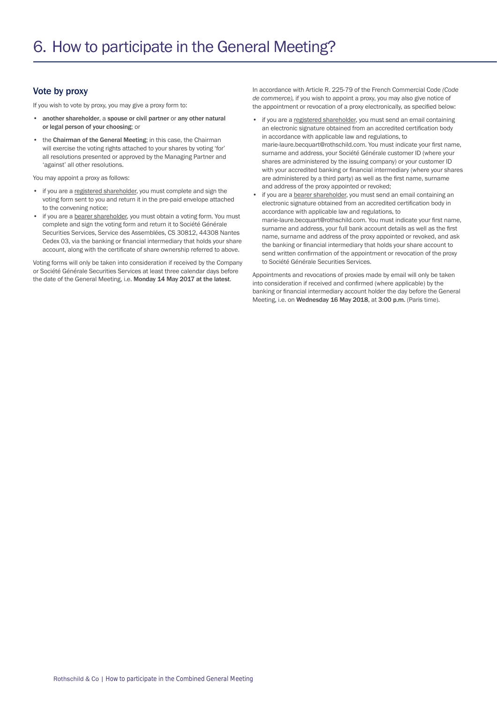### Vote by proxy

If you wish to vote by proxy, you may give a proxy form to:

- another shareholder, a spouse or civil partner or any other natural or legal person of your choosing; or
- the Chairman of the General Meeting; in this case, the Chairman will exercise the voting rights attached to your shares by voting 'for' all resolutions presented or approved by the Managing Partner and 'against' all other resolutions.

You may appoint a proxy as follows:

- if you are a registered shareholder, you must complete and sign the voting form sent to you and return it in the pre-paid envelope attached to the convening notice;
- if you are a bearer shareholder, you must obtain a voting form. You must complete and sign the voting form and return it to Société Générale Securities Services, Service des Assemblées, CS 30812, 44308 Nantes Cedex 03, via the banking or financial intermediary that holds your share account, along with the certificate of share ownership referred to above.

Voting forms will only be taken into consideration if received by the Company or Société Générale Securities Services at least three calendar days before the date of the General Meeting, i.e. Monday 14 May 2017 at the latest.

In accordance with Article R. 225-79 of the French Commercial Code *(Code de commerce),* if you wish to appoint a proxy, you may also give notice of the appointment or revocation of a proxy electronically, as specified below:

- if you are a registered shareholder, you must send an email containing an electronic signature obtained from an accredited certification body in accordance with applicable law and regulations, to marie-laure.becquart@rothschild.com. You must indicate your first name, surname and address, your Société Générale customer ID (where your shares are administered by the issuing company) or your customer ID with your accredited banking or financial intermediary (where your shares are administered by a third party) as well as the first name, surname and address of the proxy appointed or revoked;
- if you are a bearer shareholder, you must send an email containing an electronic signature obtained from an accredited certification body in accordance with applicable law and regulations, to marie-laure.becquart@rothschild.com. You must indicate your first name, surname and address, your full bank account details as well as the first name, surname and address of the proxy appointed or revoked, and ask the banking or financial intermediary that holds your share account to send written confirmation of the appointment or revocation of the proxy to Société Générale Securities Services.

Appointments and revocations of proxies made by email will only be taken into consideration if received and confirmed (where applicable) by the banking or financial intermediary account holder the day before the General Meeting, i.e. on Wednesday 16 May 2018, at 3:00 p.m. (Paris time).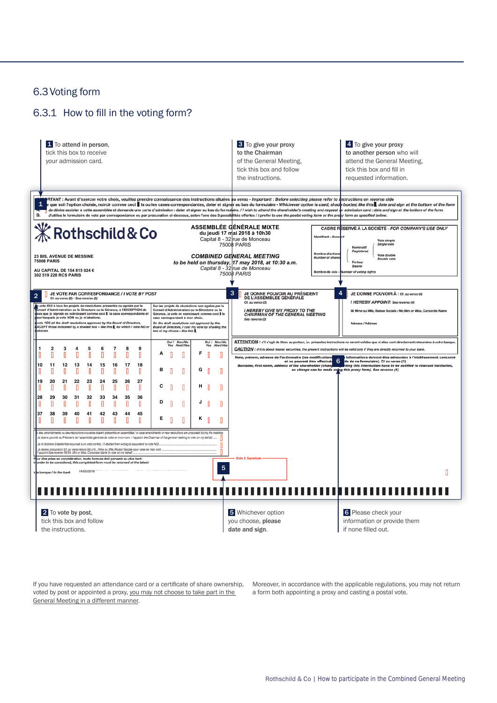## 6.3Voting form

# 6.3.1 How to fill in the voting form?



If you have requested an attendance card or a certificate of share ownership, voted by post or appointed a proxy, you may not choose to take part in the General Meeting in a different manner.

Moreover, in accordance with the applicable regulations, you may not return a form both appointing a proxy and casting a postal vote.